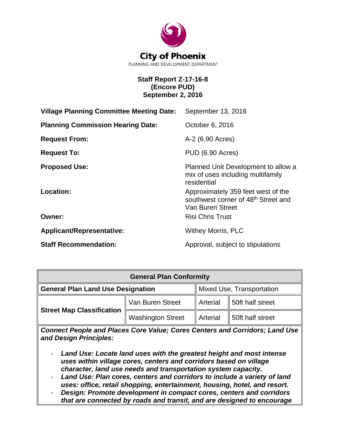

# **Staff Report Z-17-16-8 (Encore PUD) September 2, 2016**

| <b>Village Planning Committee Meeting Date:</b> | September 13, 2016                                                                                        |
|-------------------------------------------------|-----------------------------------------------------------------------------------------------------------|
| <b>Planning Commission Hearing Date:</b>        | October 6, 2016                                                                                           |
| <b>Request From:</b>                            | A-2 (6.90 Acres)                                                                                          |
| <b>Request To:</b>                              | PUD (6.90 Acres)                                                                                          |
| <b>Proposed Use:</b>                            | Planned Unit Development to allow a<br>mix of uses including multifamily<br>residential                   |
| Location:                                       | Approximately 359 feet west of the<br>southwest corner of 48 <sup>th</sup> Street and<br>Van Buren Street |
| Owner:                                          | <b>Risi Chris Trust</b>                                                                                   |
| <b>Applicant/Representative:</b>                | <b>Withey Morris, PLC</b>                                                                                 |
| <b>Staff Recommendation:</b>                    | Approval, subject to stipulations                                                                         |

| <b>General Plan Conformity</b>           |                          |                           |                  |  |  |
|------------------------------------------|--------------------------|---------------------------|------------------|--|--|
| <b>General Plan Land Use Designation</b> |                          | Mixed Use, Transportation |                  |  |  |
|                                          | Van Buren Street         | Arterial                  | 50ft half street |  |  |
| <b>Street Map Classification</b>         | <b>Washington Street</b> | Arterial                  | 50ft half street |  |  |

*Connect People and Places Core Value; Cores Centers and Corridors; Land Use and Design Principles:*

- *Land Use: Locate land uses with the greatest height and most intense uses within village cores, centers and corridors based on village character, land use needs and transportation system capacity.*
- *Land Use: Plan cores, centers and corridors to include a variety of land uses: office, retail shopping, entertainment, housing, hotel, and resort.*
- *Design: Promote development in compact cores, centers and corridors that are connected by roads and transit, and are designed to encourage*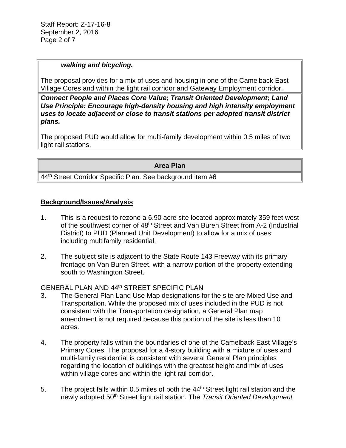# *walking and bicycling.*

The proposal provides for a mix of uses and housing in one of the Camelback East Village Cores and within the light rail corridor and Gateway Employment corridor.

*Connect People and Places Core Value; Transit Oriented Development; Land Use Principle: Encourage high-density housing and high intensity employment uses to locate adjacent or close to transit stations per adopted transit district plans.* 

The proposed PUD would allow for multi-family development within 0.5 miles of two light rail stations.

# **Area Plan**

44<sup>th</sup> Street Corridor Specific Plan. See background item #6

# **Background/Issues/Analysis**

- 1. This is a request to rezone a 6.90 acre site located approximately 359 feet west of the southwest corner of 48<sup>th</sup> Street and Van Buren Street from A-2 (Industrial District) to PUD (Planned Unit Development) to allow for a mix of uses including multifamily residential.
- 2. The subject site is adjacent to the State Route 143 Freeway with its primary frontage on Van Buren Street, with a narrow portion of the property extending south to Washington Street.

GENERAL PLAN AND 44th STREET SPECIFIC PLAN

- 3. The General Plan Land Use Map designations for the site are Mixed Use and Transportation. While the proposed mix of uses included in the PUD is not consistent with the Transportation designation, a General Plan map amendment is not required because this portion of the site is less than 10 acres.
- 4. The property falls within the boundaries of one of the Camelback East Village's Primary Cores. The proposal for a 4-story building with a mixture of uses and multi-family residential is consistent with several General Plan principles regarding the location of buildings with the greatest height and mix of uses within village cores and within the light rail corridor.
- 5. The project falls within 0.5 miles of both the 44<sup>th</sup> Street light rail station and the newly adopted 50th Street light rail station. The *Transit Oriented Development*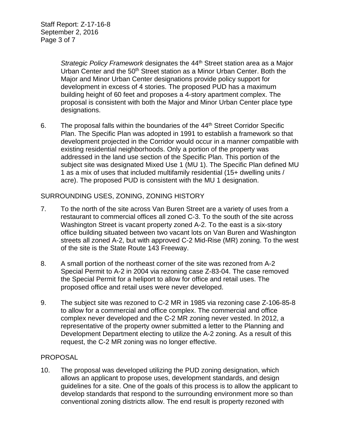*Strategic Policy Framework* designates the 44th Street station area as a Major Urban Center and the 50<sup>th</sup> Street station as a Minor Urban Center. Both the Major and Minor Urban Center designations provide policy support for development in excess of 4 stories. The proposed PUD has a maximum building height of 60 feet and proposes a 4-story apartment complex. The proposal is consistent with both the Major and Minor Urban Center place type designations.

6. The proposal falls within the boundaries of the 44<sup>th</sup> Street Corridor Specific Plan. The Specific Plan was adopted in 1991 to establish a framework so that development projected in the Corridor would occur in a manner compatible with existing residential neighborhoods. Only a portion of the property was addressed in the land use section of the Specific Plan. This portion of the subject site was designated Mixed Use 1 (MU 1). The Specific Plan defined MU 1 as a mix of uses that included multifamily residential (15+ dwelling units / acre). The proposed PUD is consistent with the MU 1 designation.

# SURROUNDING USES, ZONING, ZONING HISTORY

- 7. To the north of the site across Van Buren Street are a variety of uses from a restaurant to commercial offices all zoned C-3. To the south of the site across Washington Street is vacant property zoned A-2. To the east is a six-story office building situated between two vacant lots on Van Buren and Washington streets all zoned A-2, but with approved C-2 Mid-Rise (MR) zoning. To the west of the site is the State Route 143 Freeway.
- 8. A small portion of the northeast corner of the site was rezoned from A-2 Special Permit to A-2 in 2004 via rezoning case Z-83-04. The case removed the Special Permit for a heliport to allow for office and retail uses. The proposed office and retail uses were never developed.
- 9. The subject site was rezoned to C-2 MR in 1985 via rezoning case Z-106-85-8 to allow for a commercial and office complex. The commercial and office complex never developed and the C-2 MR zoning never vested. In 2012, a representative of the property owner submitted a letter to the Planning and Development Department electing to utilize the A-2 zoning. As a result of this request, the C-2 MR zoning was no longer effective.

# PROPOSAL

10. The proposal was developed utilizing the PUD zoning designation, which allows an applicant to propose uses, development standards, and design guidelines for a site. One of the goals of this process is to allow the applicant to develop standards that respond to the surrounding environment more so than conventional zoning districts allow. The end result is property rezoned with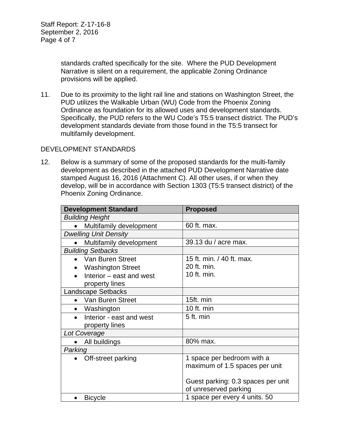standards crafted specifically for the site. Where the PUD Development Narrative is silent on a requirement, the applicable Zoning Ordinance provisions will be applied.

11. Due to its proximity to the light rail line and stations on Washington Street, the PUD utilizes the Walkable Urban (WU) Code from the Phoenix Zoning Ordinance as foundation for its allowed uses and development standards. Specifically, the PUD refers to the WU Code's T5:5 transect district. The PUD's development standards deviate from those found in the T5:5 transect for multifamily development.

#### DEVELOPMENT STANDARDS

12. Below is a summary of some of the proposed standards for the multi-family development as described in the attached PUD Development Narrative date stamped August 16, 2016 (Attachment C). All other uses, if or when they develop, will be in accordance with Section 1303 (T5:5 transect district) of the Phoenix Zoning Ordinance.

| <b>Development Standard</b>  | <b>Proposed</b>                    |
|------------------------------|------------------------------------|
| <b>Building Height</b>       |                                    |
| Multifamily development      | 60 ft. max.                        |
| <b>Dwelling Unit Density</b> |                                    |
| Multifamily development      | 39.13 du / acre max.               |
| <b>Building Setbacks</b>     |                                    |
| Van Buren Street             | 15 ft. min. / 40 ft. max.          |
| <b>Washington Street</b>     | 20 ft. min.                        |
| Interior - east and west     | 10 ft. min.                        |
| property lines               |                                    |
| <b>Landscape Setbacks</b>    |                                    |
| Van Buren Street             | 15ft. min                          |
| Washington                   | 10 ft. min                         |
| Interior - east and west     | 5 ft. min                          |
| property lines               |                                    |
| Lot Coverage                 |                                    |
| All buildings                | 80% max.                           |
| Parking                      |                                    |
| Off-street parking           | 1 space per bedroom with a         |
|                              | maximum of 1.5 spaces per unit     |
|                              |                                    |
|                              | Guest parking: 0.3 spaces per unit |
|                              | of unreserved parking              |
| <b>Bicycle</b>               | 1 space per every 4 units. 50      |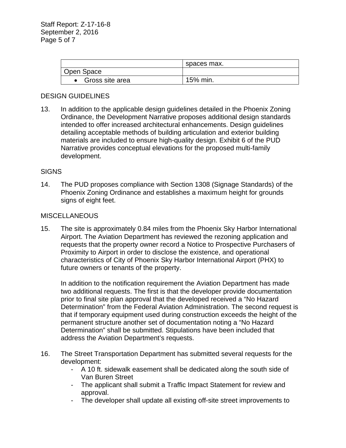|                 | spaces max. |
|-----------------|-------------|
| Open Space      |             |
| Gross site area | 15% min.    |

# DESIGN GUIDELINES

13. In addition to the applicable design guidelines detailed in the Phoenix Zoning Ordinance, the Development Narrative proposes additional design standards intended to offer increased architectural enhancements. Design guidelines detailing acceptable methods of building articulation and exterior building materials are included to ensure high-quality design. Exhibit 6 of the PUD Narrative provides conceptual elevations for the proposed multi-family development.

# **SIGNS**

14. The PUD proposes compliance with Section 1308 (Signage Standards) of the Phoenix Zoning Ordinance and establishes a maximum height for grounds signs of eight feet.

# **MISCELLANEOUS**

15. The site is approximately 0.84 miles from the Phoenix Sky Harbor International Airport. The Aviation Department has reviewed the rezoning application and requests that the property owner record a Notice to Prospective Purchasers of Proximity to Airport in order to disclose the existence, and operational characteristics of City of Phoenix Sky Harbor International Airport (PHX) to future owners or tenants of the property.

In addition to the notification requirement the Aviation Department has made two additional requests. The first is that the developer provide documentation prior to final site plan approval that the developed received a "No Hazard Determination" from the Federal Aviation Administration. The second request is that if temporary equipment used during construction exceeds the height of the permanent structure another set of documentation noting a "No Hazard Determination" shall be submitted. Stipulations have been included that address the Aviation Department's requests.

- 16. The Street Transportation Department has submitted several requests for the development:
	- A 10 ft. sidewalk easement shall be dedicated along the south side of Van Buren Street
	- The applicant shall submit a Traffic Impact Statement for review and approval.
	- The developer shall update all existing off-site street improvements to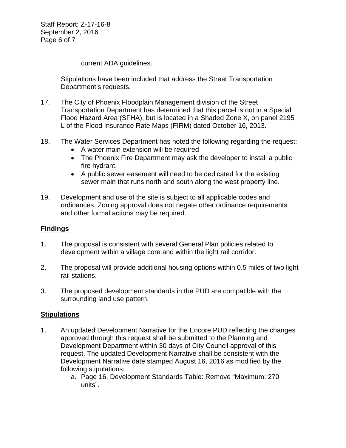Staff Report: Z-17-16-8 September 2, 2016 Page 6 of 7

current ADA guidelines.

Stipulations have been included that address the Street Transportation Department's requests.

- 17. The City of Phoenix Floodplain Management division of the Street Transportation Department has determined that this parcel is not in a Special Flood Hazard Area (SFHA), but is located in a Shaded Zone X, on panel 2195 L of the Flood Insurance Rate Maps (FIRM) dated October 16, 2013.
- 18. The Water Services Department has noted the following regarding the request:
	- A water main extension will be required
	- The Phoenix Fire Department may ask the developer to install a public fire hydrant.
	- A public sewer easement will need to be dedicated for the existing sewer main that runs north and south along the west property line.
- 19. Development and use of the site is subject to all applicable codes and ordinances. Zoning approval does not negate other ordinance requirements and other formal actions may be required.

# **Findings**

- 1. The proposal is consistent with several General Plan policies related to development within a village core and within the light rail corridor.
- 2. The proposal will provide additional housing options within 0.5 miles of two light rail stations.
- 3. The proposed development standards in the PUD are compatible with the surrounding land use pattern.

# **Stipulations**

- 1. An updated Development Narrative for the Encore PUD reflecting the changes approved through this request shall be submitted to the Planning and Development Department within 30 days of City Council approval of this request. The updated Development Narrative shall be consistent with the Development Narrative date stamped August 16, 2016 as modified by the following stipulations:
	- a. Page 16, Development Standards Table: Remove "Maximum: 270 units".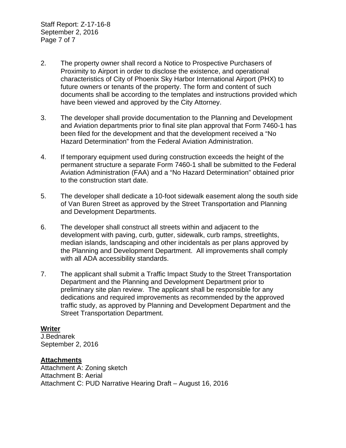Staff Report: Z-17-16-8 September 2, 2016 Page 7 of 7

- 2. The property owner shall record a Notice to Prospective Purchasers of Proximity to Airport in order to disclose the existence, and operational characteristics of City of Phoenix Sky Harbor International Airport (PHX) to future owners or tenants of the property. The form and content of such documents shall be according to the templates and instructions provided which have been viewed and approved by the City Attorney.
- 3. The developer shall provide documentation to the Planning and Development and Aviation departments prior to final site plan approval that Form 7460-1 has been filed for the development and that the development received a "No Hazard Determination" from the Federal Aviation Administration.
- 4. If temporary equipment used during construction exceeds the height of the permanent structure a separate Form 7460-1 shall be submitted to the Federal Aviation Administration (FAA) and a "No Hazard Determination" obtained prior to the construction start date.
- 5. The developer shall dedicate a 10-foot sidewalk easement along the south side of Van Buren Street as approved by the Street Transportation and Planning and Development Departments.
- 6. The developer shall construct all streets within and adjacent to the development with paving, curb, gutter, sidewalk, curb ramps, streetlights, median islands, landscaping and other incidentals as per plans approved by the Planning and Development Department. All improvements shall comply with all ADA accessibility standards.
- 7. The applicant shall submit a Traffic Impact Study to the Street Transportation Department and the Planning and Development Department prior to preliminary site plan review. The applicant shall be responsible for any dedications and required improvements as recommended by the approved traffic study, as approved by Planning and Development Department and the Street Transportation Department.

# **Writer**

J.Bednarek September 2, 2016

# **Attachments**

Attachment A: Zoning sketch Attachment B: Aerial Attachment C: PUD Narrative Hearing Draft – August 16, 2016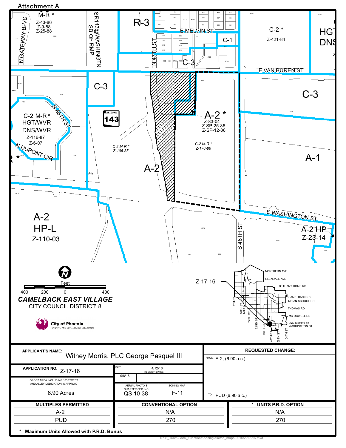

R:\IS\_Team\Core\_Functions\Zoning\sketch\_maps\2016\Z-17-16.mxd